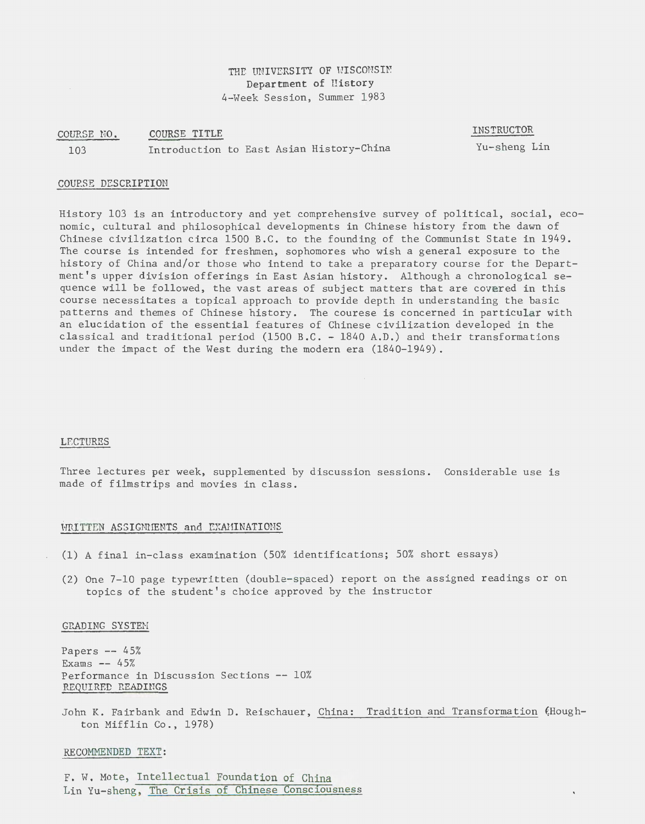# THE UNIVERSITY OF WISCONSIN Department of History 4-Week Session, Summer 1983

#### COURSE NO. 103 COURSE TITLE Introduction to East Asian History-China

INSTRUCTOR

Yu-sheng Lin

# COUF.SE DESCRIPTION

History 103 is an introductory and yet comprehensive survey of political, social, economic, cultural and philosophical developments in Chinese history from the dawn of Chinese civilization circa 1500 B.C. to the founding of the Communist State in 1949. The course is intended for freshmen, sophomores who wish a general exposure to the history of China and/or those who intend to take a preparatory course for the Department's upper division offerings in East Asian history. Although a chronological sequence will be followed, the vast areas of subject matters that are covered in this course necessitates a topical approach to provide depth in understanding the basic patterns and themes of Chinese history. The courese is concerned in particular with an elucidation of the essential features of Chinese civilization developed in the classical and traditional period (1500 B.C. - 1840 A.D.) and their transformations under the impact of the West during the modern era (1840-1949).

### LECTURES

Three lectures per week, supplemented by discussion sessions. Considerable use is made of filmstrips and movies in class.

## WRITTEN ASSIGNMENTS and EXAMINATIONS

- (1) A final in-class examination (50% identifications; 50% short essays)
- (2) One 7-10 page typewritten (double-spaced) report on the assigned readings or on topics of the student's choice approved by the instructor

### GRADING SYSTEN

Papers  $- - 45%$ Exams  $--$  45% Performance in Discussion Sections -- 10% REQUIRED READINGS

John K. Fairbank and Edwin D. Reischauer, China: Tradition and Transformation (Houghton Mifflin Co., 1978)

### RECOMMENDED TEXT:

F. W. Mote, Intellectual Foundation of China Lin Yu-sheng, The Crisis of Chinese Consciousness